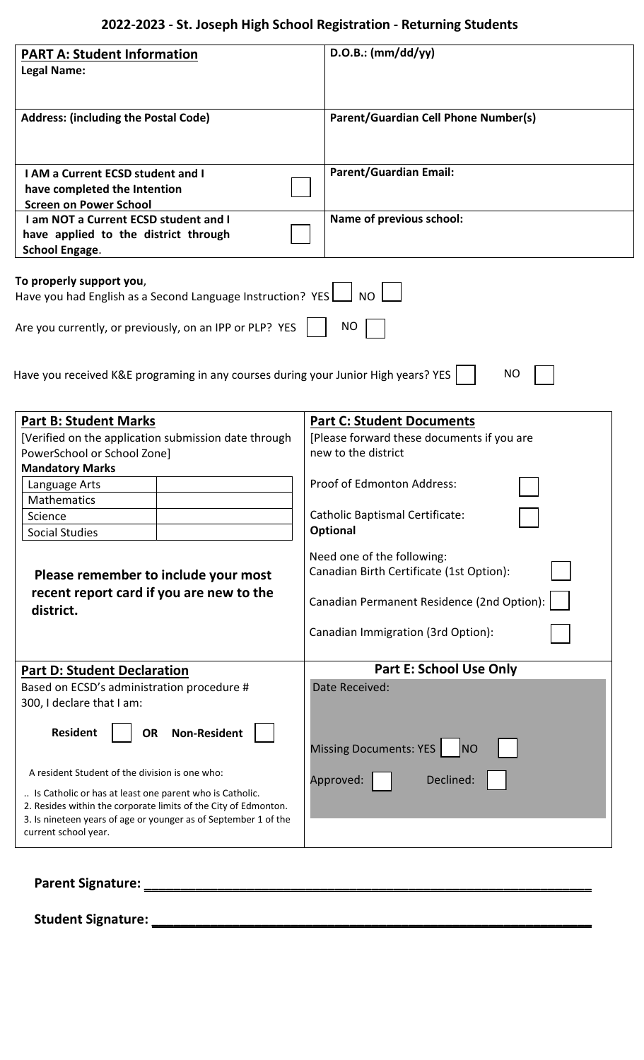## **2022-2023 - St. Joseph High School Registration - Returning Students**

| <b>PART A: Student Information</b>                                                      | $D.O.B.:$ (mm/dd/yy)                                              |
|-----------------------------------------------------------------------------------------|-------------------------------------------------------------------|
| <b>Legal Name:</b>                                                                      |                                                                   |
|                                                                                         |                                                                   |
|                                                                                         |                                                                   |
| <b>Address: (including the Postal Code)</b>                                             | Parent/Guardian Cell Phone Number(s)                              |
|                                                                                         |                                                                   |
|                                                                                         |                                                                   |
| <b>I AM a Current ECSD student and I</b>                                                | <b>Parent/Guardian Email:</b>                                     |
| have completed the Intention                                                            |                                                                   |
| <b>Screen on Power School</b>                                                           |                                                                   |
| I am NOT a Current ECSD student and I                                                   | Name of previous school:                                          |
| have applied to the district through                                                    |                                                                   |
| <b>School Engage.</b>                                                                   |                                                                   |
| To properly support you,                                                                |                                                                   |
| Have you had English as a Second Language Instruction? YES                              | <b>NO</b>                                                         |
|                                                                                         |                                                                   |
| Are you currently, or previously, on an IPP or PLP? YES                                 | <b>NO</b>                                                         |
|                                                                                         |                                                                   |
|                                                                                         |                                                                   |
| Have you received K&E programing in any courses during your Junior High years? YES      | NO                                                                |
|                                                                                         |                                                                   |
|                                                                                         |                                                                   |
| <b>Part B: Student Marks</b>                                                            | <b>Part C: Student Documents</b>                                  |
| [Verified on the application submission date through                                    | [Please forward these documents if you are<br>new to the district |
| PowerSchool or School Zone]<br><b>Mandatory Marks</b>                                   |                                                                   |
|                                                                                         | Proof of Edmonton Address:                                        |
| Language Arts<br>Mathematics                                                            |                                                                   |
| Science                                                                                 | <b>Catholic Baptismal Certificate:</b>                            |
| <b>Social Studies</b>                                                                   | Optional                                                          |
|                                                                                         |                                                                   |
|                                                                                         | Need one of the following:                                        |
| Please remember to include your most                                                    | Canadian Birth Certificate (1st Option):                          |
| recent report card if you are new to the                                                | Canadian Permanent Residence (2nd Option):                        |
| district.                                                                               |                                                                   |
|                                                                                         | Canadian Immigration (3rd Option):                                |
|                                                                                         |                                                                   |
| <b>Part D: Student Declaration</b>                                                      | <b>Part E: School Use Only</b>                                    |
| Based on ECSD's administration procedure #                                              | Date Received:                                                    |
| 300, I declare that I am:                                                               |                                                                   |
|                                                                                         |                                                                   |
| <b>Resident</b><br><b>Non-Resident</b><br><b>OR</b>                                     |                                                                   |
|                                                                                         | Missing Documents: YES<br><b>NO</b>                               |
|                                                                                         |                                                                   |
| A resident Student of the division is one who:                                          | Approved:<br>Declined:                                            |
| Is Catholic or has at least one parent who is Catholic.                                 |                                                                   |
| 2. Resides within the corporate limits of the City of Edmonton.                         |                                                                   |
| 3. Is nineteen years of age or younger as of September 1 of the<br>current school year. |                                                                   |
|                                                                                         |                                                                   |
|                                                                                         |                                                                   |
|                                                                                         |                                                                   |
| Parent Signature:                                                                       |                                                                   |

**Student Signature: \_\_\_\_\_\_\_\_\_\_\_\_\_\_\_\_\_\_\_\_\_\_\_\_\_\_\_\_\_\_\_\_\_\_\_\_\_\_\_\_\_\_\_\_\_\_\_\_\_\_\_\_\_\_\_\_\_\_\_\_**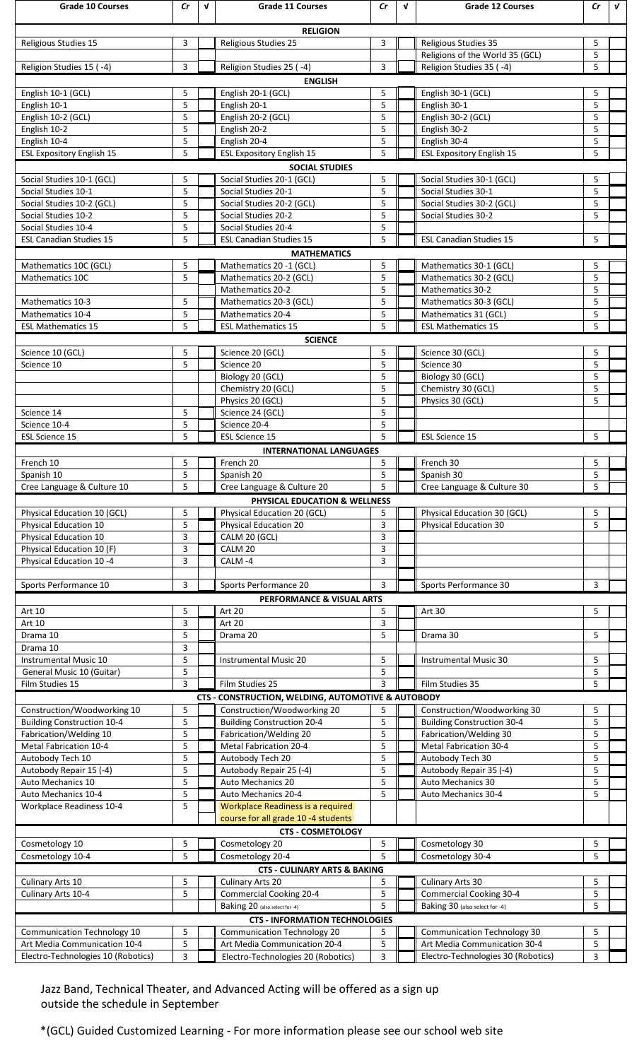| <b>Grade 10 Courses</b>                                                                                                 | Cr     | $\mathbf v$ | <b>Grade 11 Courses</b>                                     | Cr                  | V | <b>Grade 12 Courses</b>                                            | Cr                           | $\mathbf{v}$ |  |
|-------------------------------------------------------------------------------------------------------------------------|--------|-------------|-------------------------------------------------------------|---------------------|---|--------------------------------------------------------------------|------------------------------|--------------|--|
| <b>RELIGION</b>                                                                                                         |        |             |                                                             |                     |   |                                                                    |                              |              |  |
| Religious Studies 15                                                                                                    | 3      |             | Religious Studies 25                                        | 3                   |   | <b>Religious Studies 35</b>                                        | 5                            |              |  |
|                                                                                                                         |        |             |                                                             |                     |   | Religions of the World 35 (GCL)                                    | 5                            |              |  |
| Religion Studies 15 (-4)                                                                                                | 3      |             | Religion Studies 25 (-4)                                    | 3                   |   | Religion Studies 35 (-4)                                           | 5                            |              |  |
| <b>ENGLISH</b>                                                                                                          |        |             |                                                             |                     |   |                                                                    |                              |              |  |
| English 10-1 (GCL)<br>English 10-1                                                                                      | 5<br>5 |             | English 20-1 (GCL)<br>English 20-1                          | 5<br>5              |   | English 30-1 (GCL)<br>English 30-1                                 | 5<br>5                       |              |  |
| English 10-2 (GCL)                                                                                                      | 5      |             | English 20-2 (GCL)                                          | 5                   |   | English 30-2 (GCL)                                                 | 5                            |              |  |
| English 10-2                                                                                                            | 5      |             | English 20-2                                                | 5                   |   | English 30-2                                                       | 5                            |              |  |
| English 10-4                                                                                                            | 5      |             | English 20-4                                                | 5                   |   | English 30-4                                                       | 5                            |              |  |
| 5<br>5<br>5<br><b>ESL Expository English 15</b><br><b>ESL Expository English 15</b><br><b>ESL Expository English 15</b> |        |             |                                                             |                     |   |                                                                    |                              |              |  |
|                                                                                                                         |        |             | <b>SOCIAL STUDIES</b>                                       |                     |   |                                                                    |                              |              |  |
| Social Studies 10-1 (GCL)<br>Social Studies 10-1                                                                        | 5<br>5 |             | Social Studies 20-1 (GCL)<br>Social Studies 20-1            | 5<br>5              |   | Social Studies 30-1 (GCL)<br>Social Studies 30-1                   | 5<br>5                       |              |  |
| Social Studies 10-2 (GCL)                                                                                               | 5      |             | Social Studies 20-2 (GCL)                                   | 5                   |   | Social Studies 30-2 (GCL)                                          | 5                            |              |  |
| Social Studies 10-2                                                                                                     | 5      |             | Social Studies 20-2                                         | 5                   |   | Social Studies 30-2                                                | 5                            |              |  |
| Social Studies 10-4                                                                                                     | 5      |             | Social Studies 20-4                                         | 5                   |   |                                                                    |                              |              |  |
| 5<br><b>ESL Canadian Studies 15</b><br>5<br><b>ESL Canadian Studies 15</b><br><b>ESL Canadian Studies 15</b><br>5       |        |             |                                                             |                     |   |                                                                    |                              |              |  |
|                                                                                                                         |        |             | <b>MATHEMATICS</b>                                          |                     |   |                                                                    |                              |              |  |
| Mathematics 10C (GCL)<br>Mathematics 10C                                                                                | 5<br>5 |             | Mathematics 20 -1 (GCL)<br>Mathematics 20-2 (GCL)           | 5<br>5              |   | Mathematics 30-1 (GCL)<br>Mathematics 30-2 (GCL)                   | 5<br>5                       |              |  |
|                                                                                                                         |        |             | <b>Mathematics 20-2</b>                                     | 5                   |   | Mathematics 30-2                                                   | 5                            |              |  |
| Mathematics 10-3                                                                                                        | 5      |             | Mathematics 20-3 (GCL)                                      | 5                   |   | Mathematics 30-3 (GCL)                                             | 5                            |              |  |
| Mathematics 10-4                                                                                                        | 5      |             | Mathematics 20-4                                            | 5                   |   | Mathematics 31 (GCL)                                               | 5                            |              |  |
| <b>ESL Mathematics 15</b>                                                                                               | 5      |             | <b>ESL Mathematics 15</b>                                   | 5                   |   | <b>ESL Mathematics 15</b>                                          | 5                            |              |  |
| Science 10 (GCL)                                                                                                        | 5      |             | <b>SCIENCE</b><br>Science 20 (GCL)                          | 5                   |   | Science 30 (GCL)                                                   | 5                            |              |  |
| Science 10                                                                                                              | 5      |             | Science 20                                                  | 5                   |   | Science 30                                                         | 5                            |              |  |
|                                                                                                                         |        |             | Biology 20 (GCL)                                            | 5                   |   | Biology 30 (GCL)                                                   | 5                            |              |  |
|                                                                                                                         |        |             | Chemistry 20 (GCL)                                          | 5                   |   | Chemistry 30 (GCL)                                                 | 5                            |              |  |
|                                                                                                                         |        |             | Physics 20 (GCL)                                            | 5                   |   | Physics 30 (GCL)                                                   | 5                            |              |  |
| Science 14                                                                                                              | 5      |             | Science 24 (GCL)                                            | 5                   |   |                                                                    |                              |              |  |
| Science 10-4<br><b>ESL Science 15</b>                                                                                   | 5<br>5 |             | Science 20-4<br><b>ESL Science 15</b>                       | 5<br>5              |   | <b>ESL Science 15</b>                                              | 5                            |              |  |
|                                                                                                                         |        |             | <b>INTERNATIONAL LANGUAGES</b>                              |                     |   |                                                                    |                              |              |  |
| French 10                                                                                                               | 5      |             | French 20                                                   | 5                   |   | French 30                                                          | 5                            |              |  |
| Spanish 10                                                                                                              | 5      |             | Spanish 20                                                  | 5                   |   | Spanish 30                                                         | 5                            |              |  |
| Cree Language & Culture 10                                                                                              | 5      |             | Cree Language & Culture 20                                  | 5                   |   | Cree Language & Culture 30                                         | 5                            |              |  |
|                                                                                                                         |        |             |                                                             |                     |   |                                                                    |                              |              |  |
|                                                                                                                         |        |             | PHYSICAL EDUCATION & WELLNESS                               |                     |   |                                                                    |                              |              |  |
| Physical Education 10 (GCL)                                                                                             | 5      |             | Physical Education 20 (GCL)                                 | 5                   |   | Physical Education 30 (GCL)                                        | 5                            |              |  |
| Physical Education 10<br>Physical Education 10                                                                          | 5<br>3 |             | Physical Education 20<br>CALM 20 (GCL)                      | 3<br>3              |   | Physical Education 30                                              | 5                            |              |  |
| Physical Education 10 (F)                                                                                               | 3      |             | CALM 20                                                     | 3                   |   |                                                                    |                              |              |  |
| Physical Education 10 -4                                                                                                | 3      |             | CALM-4                                                      | 3                   |   |                                                                    |                              |              |  |
|                                                                                                                         |        |             |                                                             |                     |   |                                                                    |                              |              |  |
| Sports Performance 10                                                                                                   | 3      |             | Sports Performance 20                                       | 3                   |   | Sports Performance 30                                              | 3                            |              |  |
| Art 10                                                                                                                  | 5      |             | PERFORMANCE & VISUAL ARTS<br><b>Art 20</b>                  | 5                   |   |                                                                    | 5                            |              |  |
| Art 10                                                                                                                  | 3      |             | Art 20                                                      | 3                   |   | Art 30                                                             |                              |              |  |
| Drama 10                                                                                                                | 5      |             | Drama 20                                                    | 5                   |   | Drama 30                                                           | 5                            |              |  |
| Drama 10                                                                                                                | 3      |             |                                                             |                     |   |                                                                    |                              |              |  |
| Instrumental Music 10                                                                                                   | 5      |             | Instrumental Music 20                                       | 5                   |   | Instrumental Music 30                                              | 5                            |              |  |
| General Music 10 (Guitar)<br>Film Studies 15                                                                            | 5<br>3 |             | Film Studies 25                                             | 5<br>$\overline{3}$ |   |                                                                    | 5<br>5                       |              |  |
|                                                                                                                         |        |             | CTS - CONSTRUCTION, WELDING, AUTOMOTIVE & AUTOBODY          |                     |   | Film Studies 35                                                    |                              |              |  |
| Construction/Woodworking 10                                                                                             | 5      |             | Construction/Woodworking 20                                 | 5                   |   | Construction/Woodworking 30                                        | 5                            |              |  |
| <b>Building Construction 10-4</b>                                                                                       | 5      |             | <b>Building Construction 20-4</b>                           | 5                   |   | <b>Building Construction 30-4</b>                                  | 5                            |              |  |
| Fabrication/Welding 10                                                                                                  | 5      |             | Fabrication/Welding 20                                      | 5                   |   | Fabrication/Welding 30                                             | 5                            |              |  |
| Metal Fabrication 10-4                                                                                                  | 5      |             | Metal Fabrication 20-4                                      | 5                   |   | Metal Fabrication 30-4                                             | 5                            |              |  |
| Autobody Tech 10                                                                                                        | 5<br>5 |             | Autobody Tech 20                                            | 5<br>5              |   | Autobody Tech 30                                                   | 5<br>5                       |              |  |
| Autobody Repair 15 (-4)<br>Auto Mechanics 10                                                                            | 5      |             | Autobody Repair 25 (-4)<br>Auto Mechanics 20                | 5                   |   | Autobody Repair 35 (-4)<br>Auto Mechanics 30                       | 5                            |              |  |
| Auto Mechanics 10-4                                                                                                     | 5      |             | Auto Mechanics 20-4                                         | 5                   |   | Auto Mechanics 30-4                                                | 5                            |              |  |
| <b>Workplace Readiness 10-4</b>                                                                                         | 5      |             | Workplace Readiness is a required                           |                     |   |                                                                    |                              |              |  |
|                                                                                                                         |        |             | course for all grade 10 -4 students                         |                     |   |                                                                    |                              |              |  |
|                                                                                                                         |        |             | <b>CTS - COSMETOLOGY</b>                                    |                     |   |                                                                    |                              |              |  |
| Cosmetology 10<br>Cosmetology 10-4                                                                                      | 5<br>5 |             | Cosmetology 20<br>Cosmetology 20-4                          | 5<br>5              |   | Cosmetology 30<br>Cosmetology 30-4                                 | 5<br>5                       |              |  |
|                                                                                                                         |        |             | <b>CTS - CULINARY ARTS &amp; BAKING</b>                     |                     |   |                                                                    |                              |              |  |
| Culinary Arts 10                                                                                                        | 5      |             | Culinary Arts 20                                            | 5                   |   | Culinary Arts 30                                                   | 5                            |              |  |
| Culinary Arts 10-4                                                                                                      | 5      |             | <b>Commercial Cooking 20-4</b>                              | 5                   |   | <b>Commercial Cooking 30-4</b>                                     | 5                            |              |  |
|                                                                                                                         |        |             | Baking 20 (also select for -4)                              | 5                   |   | Baking 30 (also select for -4)                                     | 5                            |              |  |
|                                                                                                                         |        |             | <b>CTS - INFORMATION TECHNOLOGIES</b>                       |                     |   |                                                                    |                              |              |  |
| Communication Technology 10<br>Art Media Communication 10-4                                                             | 5<br>5 |             | Communication Technology 20<br>Art Media Communication 20-4 | 5<br>5              |   | <b>Communication Technology 30</b><br>Art Media Communication 30-4 | 5<br>$\overline{\mathbf{5}}$ |              |  |

Jazz Band, Technical Theater, and Advanced Acting will be offered as a sign up outside the schedule in September

\*(GCL) Guided Customized Learning - For more information please see our school web site